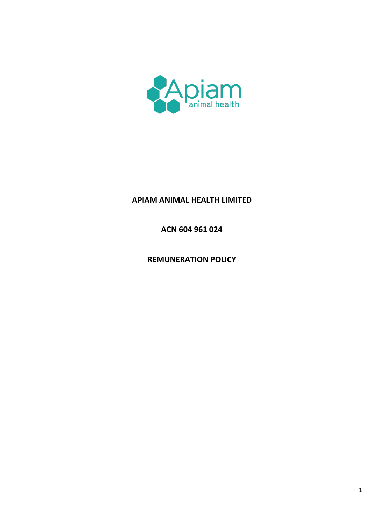

# APIAM ANIMAL HEALTH LIMITED

ACN 604 961 024

**REMUNERATION POLICY**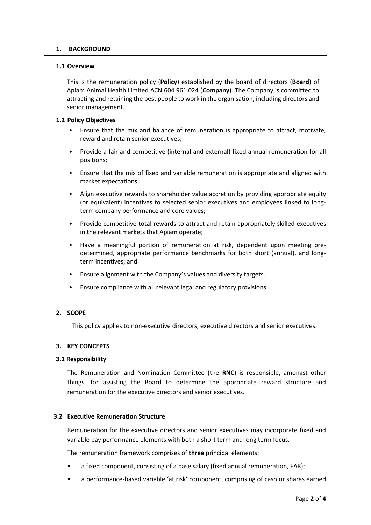#### **1. BACKGROUND**

#### **1.1 Overview**

This is the remuneration policy (**Policy**) established by the board of directors (**Board**) of Apiam Animal Health Limited ACN 604 961 024 (**Company**). The Company is committed to attracting and retaining the best people to work in the organisation, including directors and senior management.

#### **1.2 Policy Objectives**

- Ensure that the mix and balance of remuneration is appropriate to attract, motivate, reward and retain senior executives;
- Provide a fair and competitive (internal and external) fixed annual remuneration for all positions;
- Ensure that the mix of fixed and variable remuneration is appropriate and aligned with market expectations;
- Align executive rewards to shareholder value accretion by providing appropriate equity (or equivalent) incentives to selected senior executives and employees linked to longterm company performance and core values;
- Provide competitive total rewards to attract and retain appropriately skilled executives in the relevant markets that Apiam operate;
- Have a meaningful portion of remuneration at risk, dependent upon meeting predetermined, appropriate performance benchmarks for both short (annual), and longterm incentives; and
- Ensure alignment with the Company's values and diversity targets.
- Ensure compliance with all relevant legal and regulatory provisions.

## **2. SCOPE**

This policy applies to non-executive directors, executive directors and senior executives.

## **3. KEY CONCEPTS**

#### **3.1 Responsibility**

The Remuneration and Nomination Committee (the **RNC**) is responsible, amongst other things, for assisting the Board to determine the appropriate reward structure and remuneration for the executive directors and senior executives.

## **3.2 Executive Remuneration Structure**

Remuneration for the executive directors and senior executives may incorporate fixed and variable pay performance elements with both a short term and long term focus.

The remuneration framework comprises of **three** principal elements:

- a fixed component, consisting of a base salary (fixed annual remuneration, FAR);
- a performance-based variable 'at risk' component, comprising of cash or shares earned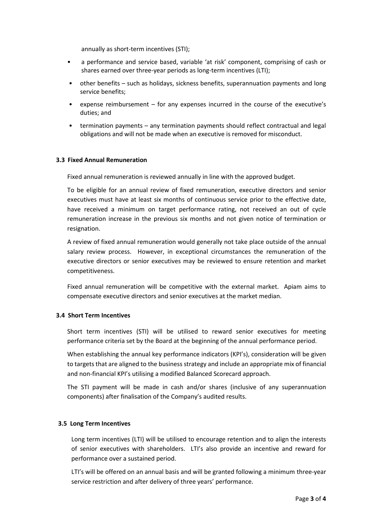annually as short-term incentives (STI);

- a performance and service based, variable 'at risk' component, comprising of cash or shares earned over three-year periods as long-term incentives (LTI);
- other benefits such as holidays, sickness benefits, superannuation payments and long service benefits;
- expense reimbursement for any expenses incurred in the course of the executive's duties; and
- termination payments any termination payments should reflect contractual and legal obligations and will not be made when an executive is removed for misconduct.

## **3.3 Fixed Annual Remuneration**

Fixed annual remuneration is reviewed annually in line with the approved budget.

To be eligible for an annual review of fixed remuneration, executive directors and senior executives must have at least six months of continuous service prior to the effective date, have received a minimum on target performance rating, not received an out of cycle remuneration increase in the previous six months and not given notice of termination or resignation.

A review of fixed annual remuneration would generally not take place outside of the annual salary review process. However, in exceptional circumstances the remuneration of the executive directors or senior executives may be reviewed to ensure retention and market competitiveness.

Fixed annual remuneration will be competitive with the external market. Apiam aims to compensate executive directors and senior executives at the market median.

## **3.4 Short Term Incentives**

Short term incentives (STI) will be utilised to reward senior executives for meeting performance criteria set by the Board at the beginning of the annual performance period.

When establishing the annual key performance indicators (KPI's), consideration will be given to targets that are aligned to the business strategy and include an appropriate mix of financial and non-financial KPI's utilising a modified Balanced Scorecard approach.

The STI payment will be made in cash and/or shares (inclusive of any superannuation components) after finalisation of the Company's audited results.

## **3.5 Long Term Incentives**

Long term incentives (LTI) will be utilised to encourage retention and to align the interests of senior executives with shareholders. LTI's also provide an incentive and reward for performance over a sustained period.

LTI's will be offered on an annual basis and will be granted following a minimum three-year service restriction and after delivery of three years' performance.